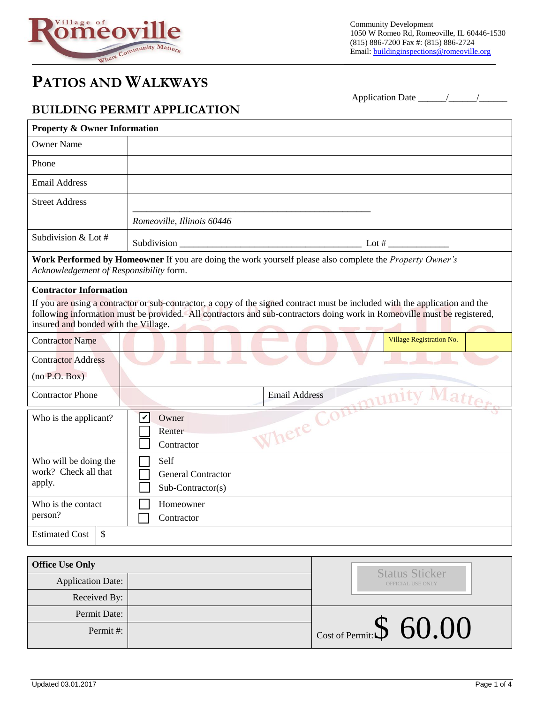

# **PATIOS AND WALKWAYS**

### **BUILDING PERMIT APPLICATION**

Application Date \_\_\_\_\_\_/\_\_\_\_\_\_/\_\_\_\_\_\_

| <b>Property &amp; Owner Information</b>                                                                                                                                                                                                                                                                                                           |                                                                                                                 |  |  |  |
|---------------------------------------------------------------------------------------------------------------------------------------------------------------------------------------------------------------------------------------------------------------------------------------------------------------------------------------------------|-----------------------------------------------------------------------------------------------------------------|--|--|--|
| <b>Owner Name</b>                                                                                                                                                                                                                                                                                                                                 |                                                                                                                 |  |  |  |
| Phone                                                                                                                                                                                                                                                                                                                                             |                                                                                                                 |  |  |  |
| <b>Email Address</b>                                                                                                                                                                                                                                                                                                                              |                                                                                                                 |  |  |  |
| <b>Street Address</b>                                                                                                                                                                                                                                                                                                                             |                                                                                                                 |  |  |  |
|                                                                                                                                                                                                                                                                                                                                                   | Romeoville, Illinois 60446                                                                                      |  |  |  |
| Subdivision & Lot #                                                                                                                                                                                                                                                                                                                               |                                                                                                                 |  |  |  |
| Acknowledgement of Responsibility form.                                                                                                                                                                                                                                                                                                           | Work Performed by Homeowner If you are doing the work yourself please also complete the <i>Property Owner's</i> |  |  |  |
| <b>Contractor Information</b><br>If you are using a contractor or sub-contractor, a copy of the signed contract must be included with the application and the<br>following information must be provided. All contractors and sub-contractors doing work in Romeoville must be registered,<br>insured and bonded with the Village.<br><b>STATE</b> |                                                                                                                 |  |  |  |
| <b>Contractor Name</b>                                                                                                                                                                                                                                                                                                                            | Village Registration No.                                                                                        |  |  |  |
| <b>Contractor Address</b><br>(no P.O. Box)                                                                                                                                                                                                                                                                                                        |                                                                                                                 |  |  |  |
| <b>Contractor Phone</b>                                                                                                                                                                                                                                                                                                                           | munity Matter<br><b>Email Address</b>                                                                           |  |  |  |
| Who is the applicant?                                                                                                                                                                                                                                                                                                                             | $C_{OL}$<br>lV<br>Owner<br>Where<br>Renter<br>Contractor                                                        |  |  |  |
| Who will be doing the<br>work? Check all that<br>apply.                                                                                                                                                                                                                                                                                           | Self<br><b>General Contractor</b><br>Sub-Contractor(s)                                                          |  |  |  |
| Who is the contact<br>person?                                                                                                                                                                                                                                                                                                                     | Homeowner<br>Contractor                                                                                         |  |  |  |
| \$<br><b>Estimated Cost</b>                                                                                                                                                                                                                                                                                                                       |                                                                                                                 |  |  |  |

| <b>Office Use Only</b>   | <b>Status Sticker</b>              |
|--------------------------|------------------------------------|
| <b>Application Date:</b> | OFFICIAL USE ONLY                  |
| Received By:             |                                    |
| Permit Date:             |                                    |
| Permit#:                 | $\vert$ Cost of Permit: $\$$ 60.00 |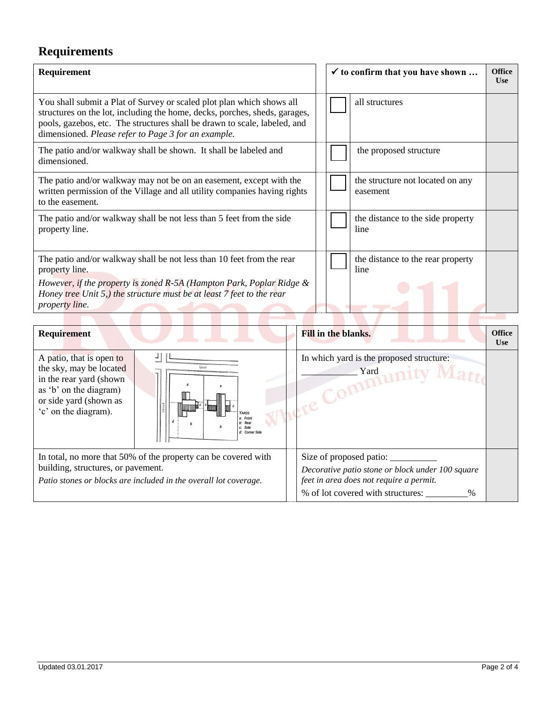## **Requirements**

| Requirement                                                                                                                                                                                                                                                                             |  | $\checkmark$ to confirm that you have shown |                                              | <b>Office</b><br><b>Use</b> |
|-----------------------------------------------------------------------------------------------------------------------------------------------------------------------------------------------------------------------------------------------------------------------------------------|--|---------------------------------------------|----------------------------------------------|-----------------------------|
| You shall submit a Plat of Survey or scaled plot plan which shows all<br>structures on the lot, including the home, decks, porches, sheds, garages,<br>pools, gazebos, etc. The structures shall be drawn to scale, labeled, and<br>dimensioned. Please refer to Page 3 for an example. |  |                                             | all structures                               |                             |
| The patio and/or walkway shall be shown. It shall be labeled and<br>dimensioned.                                                                                                                                                                                                        |  |                                             | the proposed structure                       |                             |
| The patio and/or walkway may not be on an easement, except with the<br>written permission of the Village and all utility companies having rights<br>to the easement.                                                                                                                    |  |                                             | the structure not located on any<br>easement |                             |
| The patio and/or walkway shall be not less than 5 feet from the side<br>property line.                                                                                                                                                                                                  |  |                                             | the distance to the side property<br>line    |                             |
| The patio and/or walkway shall be not less than 10 feet from the rear<br>property line.<br>However, if the property is zoned R-5A (Hampton Park, Poplar Ridge &<br>Honey <i>tree</i> Unit 5,) the structure must be at least 7 feet to the rear<br>property line.                       |  |                                             | the distance to the rear property<br>line    |                             |
|                                                                                                                                                                                                                                                                                         |  |                                             |                                              |                             |

| Requirement                                                                                                                                                              |                                                                 | <b>Fill in the blanks.</b>                                                                                                               | <b>Office</b><br>Use |
|--------------------------------------------------------------------------------------------------------------------------------------------------------------------------|-----------------------------------------------------------------|------------------------------------------------------------------------------------------------------------------------------------------|----------------------|
| A patio, that is open to<br>the sky, may be located<br>in the rear yard (shown)<br>as 'b' on the diagram)<br>or side yard (shown as<br>'c' on the diagram).              | <b>ARDS</b><br>a: Front<br>b: Rear<br>c: Side<br>d: Corner Side | In which yard is the proposed structure:<br>Yard                                                                                         |                      |
| In total, no more that 50% of the property can be covered with<br>building, structures, or pavement.<br>Patio stones or blocks are included in the overall lot coverage. |                                                                 | Decorative patio stone or block under 100 square<br>feet in area does not require a permit.<br>% of lot covered with structures:<br>$\%$ |                      |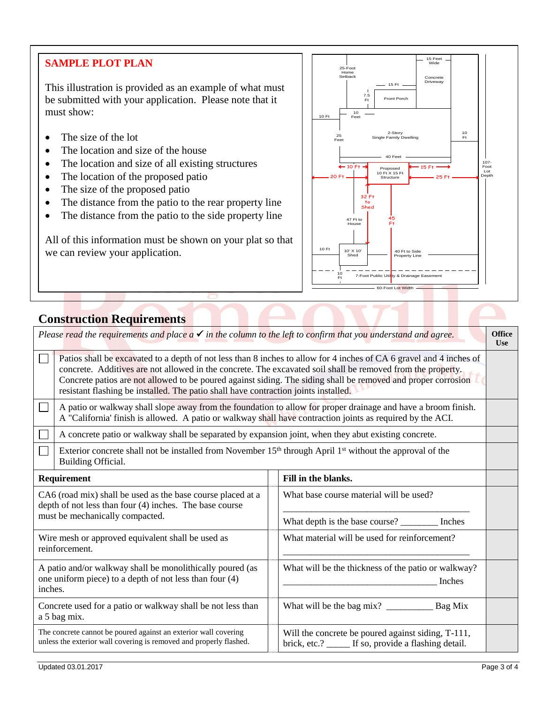#### **SAMPLE PLOT PLAN**

This illustration is provided as an example of what must be submitted with your application. Please note that it must show:

- The size of the lot
- The location and size of the house
- The location and size of all existing structures
- The location of the proposed patio
- The size of the proposed patio
- The distance from the patio to the rear property line
- The distance from the patio to the side property line

All of this information must be shown on your plat so that we can review your application.



## **Construction Requirements**

| Please read the requirements and place $a \checkmark$ in the column to the left to confirm that you understand and agree.                                 |                                                                                                                                                                                                                                                                                                                                                                                                                                            |  |                                                                                                            | <b>Office</b><br><b>Use</b> |
|-----------------------------------------------------------------------------------------------------------------------------------------------------------|--------------------------------------------------------------------------------------------------------------------------------------------------------------------------------------------------------------------------------------------------------------------------------------------------------------------------------------------------------------------------------------------------------------------------------------------|--|------------------------------------------------------------------------------------------------------------|-----------------------------|
|                                                                                                                                                           | Patios shall be excavated to a depth of not less than 8 inches to allow for 4 inches of CA 6 gravel and 4 inches of<br>concrete. Additives are not allowed in the concrete. The excavated soil shall be removed from the property.<br>Concrete patios are not allowed to be poured against siding. The siding shall be removed and proper corrosion<br>resistant flashing be installed. The patio shall have contraction joints installed. |  |                                                                                                            |                             |
|                                                                                                                                                           | A patio or walkway shall slope away from the foundation to allow for proper drainage and have a broom finish.<br>A "California' finish is allowed. A patio or walkway shall have contraction joints as required by the ACI.                                                                                                                                                                                                                |  |                                                                                                            |                             |
|                                                                                                                                                           | A concrete patio or walkway shall be separated by expansion joint, when they abut existing concrete.                                                                                                                                                                                                                                                                                                                                       |  |                                                                                                            |                             |
| Exterior concrete shall not be installed from November 15 <sup>th</sup> through April 1 <sup>st</sup> without the approval of the<br>Building Official.   |                                                                                                                                                                                                                                                                                                                                                                                                                                            |  |                                                                                                            |                             |
| Requirement                                                                                                                                               |                                                                                                                                                                                                                                                                                                                                                                                                                                            |  | Fill in the blanks.                                                                                        |                             |
| CA6 (road mix) shall be used as the base course placed at a<br>depth of not less than four (4) inches. The base course<br>must be mechanically compacted. |                                                                                                                                                                                                                                                                                                                                                                                                                                            |  | What base course material will be used?                                                                    |                             |
|                                                                                                                                                           |                                                                                                                                                                                                                                                                                                                                                                                                                                            |  | What depth is the base course? __________ Inches                                                           |                             |
| Wire mesh or approved equivalent shall be used as<br>reinforcement.                                                                                       |                                                                                                                                                                                                                                                                                                                                                                                                                                            |  | What material will be used for reinforcement?                                                              |                             |
| A patio and/or walkway shall be monolithically poured (as<br>one uniform piece) to a depth of not less than four (4)<br>inches.                           |                                                                                                                                                                                                                                                                                                                                                                                                                                            |  | What will be the thickness of the patio or walkway?<br>Inches                                              |                             |
| Concrete used for a patio or walkway shall be not less than<br>a 5 bag mix.                                                                               |                                                                                                                                                                                                                                                                                                                                                                                                                                            |  |                                                                                                            |                             |
| The concrete cannot be poured against an exterior wall covering<br>unless the exterior wall covering is removed and properly flashed.                     |                                                                                                                                                                                                                                                                                                                                                                                                                                            |  | Will the concrete be poured against siding, T-111,<br>brick, etc.? _____ If so, provide a flashing detail. |                             |